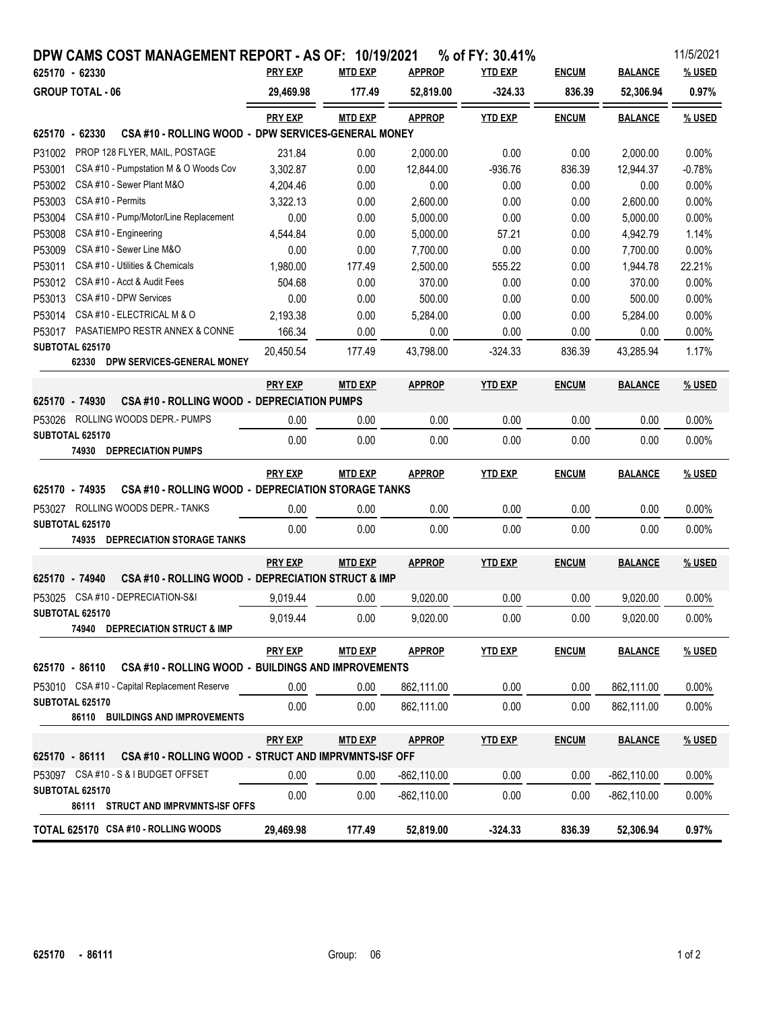| DPW CAMS COST MANAGEMENT REPORT - AS OF: 10/19/2021                     |                |                |                | % of FY: 30.41% |              |                | 11/5/2021 |
|-------------------------------------------------------------------------|----------------|----------------|----------------|-----------------|--------------|----------------|-----------|
| 625170 - 62330                                                          | <b>PRY EXP</b> | <b>MTD EXP</b> | <b>APPROP</b>  | <u>YTD EXP</u>  | <b>ENCUM</b> | <b>BALANCE</b> | % USED    |
| <b>GROUP TOTAL - 06</b>                                                 | 29,469.98      | 177.49         | 52,819.00      | $-324.33$       | 836.39       | 52,306.94      | 0.97%     |
|                                                                         | <b>PRY EXP</b> | <b>MTD EXP</b> | <b>APPROP</b>  | <b>YTD EXP</b>  | <b>ENCUM</b> | <b>BALANCE</b> | % USED    |
| CSA #10 - ROLLING WOOD - DPW SERVICES-GENERAL MONEY<br>625170 - 62330   |                |                |                |                 |              |                |           |
| PROP 128 FLYER, MAIL, POSTAGE<br>P31002                                 | 231.84         | 0.00           | 2,000.00       | 0.00            | 0.00         | 2,000.00       | 0.00%     |
| P53001<br>CSA #10 - Pumpstation M & O Woods Cov                         | 3,302.87       | 0.00           | 12,844.00      | $-936.76$       | 836.39       | 12,944.37      | $-0.78%$  |
| P53002<br>CSA #10 - Sewer Plant M&O                                     | 4,204.46       | 0.00           | 0.00           | 0.00            | 0.00         | 0.00           | 0.00%     |
| P53003<br>CSA#10 - Permits                                              | 3,322.13       | 0.00           | 2,600.00       | 0.00            | 0.00         | 2,600.00       | 0.00%     |
| P53004<br>CSA #10 - Pump/Motor/Line Replacement                         | 0.00           | 0.00           | 5,000.00       | 0.00            | 0.00         | 5,000.00       | 0.00%     |
| P53008<br>CSA #10 - Engineering                                         | 4,544.84       | 0.00           | 5,000.00       | 57.21           | 0.00         | 4,942.79       | 1.14%     |
| P53009<br>CSA #10 - Sewer Line M&O                                      | 0.00           | 0.00           | 7,700.00       | 0.00            | 0.00         | 7,700.00       | 0.00%     |
| CSA #10 - Utilities & Chemicals<br>P53011                               | 1,980.00       | 177.49         | 2,500.00       | 555.22          | 0.00         | 1,944.78       | 22.21%    |
| CSA #10 - Acct & Audit Fees<br>P53012                                   | 504.68         | 0.00           | 370.00         | 0.00            | 0.00         | 370.00         | 0.00%     |
| CSA #10 - DPW Services<br>P53013                                        | 0.00           | 0.00           | 500.00         | 0.00            | 0.00         | 500.00         | 0.00%     |
| CSA#10 - ELECTRICAL M & O<br>P53014                                     | 2,193.38       | 0.00           | 5,284.00       | 0.00            | 0.00         | 5,284.00       | 0.00%     |
| PASATIEMPO RESTR ANNEX & CONNE<br>P53017                                | 166.34         | 0.00           | 0.00           | 0.00            | 0.00         | 0.00           | 0.00%     |
| SUBTOTAL 625170<br>62330 DPW SERVICES-GENERAL MONEY                     | 20,450.54      | 177.49         | 43,798.00      | $-324.33$       | 836.39       | 43,285.94      | 1.17%     |
|                                                                         | <b>PRY EXP</b> | <b>MTD EXP</b> | <b>APPROP</b>  | <b>YTD EXP</b>  | <b>ENCUM</b> | <b>BALANCE</b> | % USED    |
| CSA #10 - ROLLING WOOD - DEPRECIATION PUMPS<br>625170 - 74930           |                |                |                |                 |              |                |           |
| P53026 ROLLING WOODS DEPR.- PUMPS                                       | 0.00           | 0.00           | 0.00           | 0.00            | 0.00         | 0.00           | 0.00%     |
| SUBTOTAL 625170                                                         | 0.00           | 0.00           | 0.00           | 0.00            | 0.00         | 0.00           | 0.00%     |
| 74930 DEPRECIATION PUMPS                                                |                |                |                |                 |              |                |           |
|                                                                         | <b>PRY EXP</b> | <b>MTD EXP</b> | <b>APPROP</b>  | <b>YTD EXP</b>  | <b>ENCUM</b> | <b>BALANCE</b> | % USED    |
| CSA #10 - ROLLING WOOD - DEPRECIATION STORAGE TANKS<br>625170 - 74935   |                |                |                |                 |              |                |           |
| P53027 ROLLING WOODS DEPR.- TANKS                                       | 0.00           | 0.00           | 0.00           | 0.00            | 0.00         | 0.00           | 0.00%     |
| SUBTOTAL 625170                                                         | 0.00           | 0.00           | 0.00           | 0.00            | 0.00         | 0.00           | 0.00%     |
| 74935 DEPRECIATION STORAGE TANKS                                        |                |                |                |                 |              |                |           |
|                                                                         | <b>PRY EXP</b> | MTD EXP        | <b>APPROP</b>  | <b>YTD EXP</b>  | <b>ENCUM</b> | <b>BALANCE</b> | % USED    |
| CSA #10 - ROLLING WOOD - DEPRECIATION STRUCT & IMP<br>625170 - 74940    |                |                |                |                 |              |                |           |
| P53025 CSA #10 - DEPRECIATION-S&I                                       | 9,019.44       | 0.00           | 9,020.00       | 0.00            | 0.00         | 9,020.00       | 0.00%     |
| SUBTOTAL 625170                                                         | 9,019.44       | 0.00           | 9,020.00       | 0.00            | 0.00         | 9,020.00       | 0.00%     |
| <b>74940 DEPRECIATION STRUCT &amp; IMP</b>                              |                |                |                |                 |              |                |           |
|                                                                         | <b>PRY EXP</b> | MTD EXP        | <b>APPROP</b>  | <b>YTD EXP</b>  | <b>ENCUM</b> | <b>BALANCE</b> | % USED    |
| CSA #10 - ROLLING WOOD - BUILDINGS AND IMPROVEMENTS<br>625170 - 86110   |                |                |                |                 |              |                |           |
| P53010 CSA #10 - Capital Replacement Reserve                            | 0.00           | 0.00           | 862,111.00     | 0.00            | 0.00         | 862,111.00     | $0.00\%$  |
| SUBTOTAL 625170                                                         | 0.00           | 0.00           | 862,111.00     | 0.00            | 0.00         | 862,111.00     | 0.00%     |
| 86110 BUILDINGS AND IMPROVEMENTS                                        |                |                |                |                 |              |                |           |
|                                                                         | <b>PRY EXP</b> | MTD EXP        | <b>APPROP</b>  | <b>YTD EXP</b>  | <b>ENCUM</b> | <b>BALANCE</b> | % USED    |
| CSA #10 - ROLLING WOOD - STRUCT AND IMPRVMNTS-ISF OFF<br>625170 - 86111 |                |                |                |                 |              |                |           |
| P53097 CSA#10 - S&IBUDGET OFFSET                                        | 0.00           | 0.00           | -862,110.00    | 0.00            | 0.00         | $-862, 110.00$ | $0.00\%$  |
| SUBTOTAL 625170                                                         | 0.00           | 0.00           | $-862, 110.00$ | 0.00            | 0.00         | $-862, 110.00$ | 0.00%     |
| 86111 STRUCT AND IMPRVMNTS-ISF OFFS                                     |                |                |                |                 |              |                |           |
| TOTAL 625170 CSA #10 - ROLLING WOODS                                    | 29,469.98      | 177.49         | 52,819.00      | $-324.33$       | 836.39       | 52,306.94      | 0.97%     |